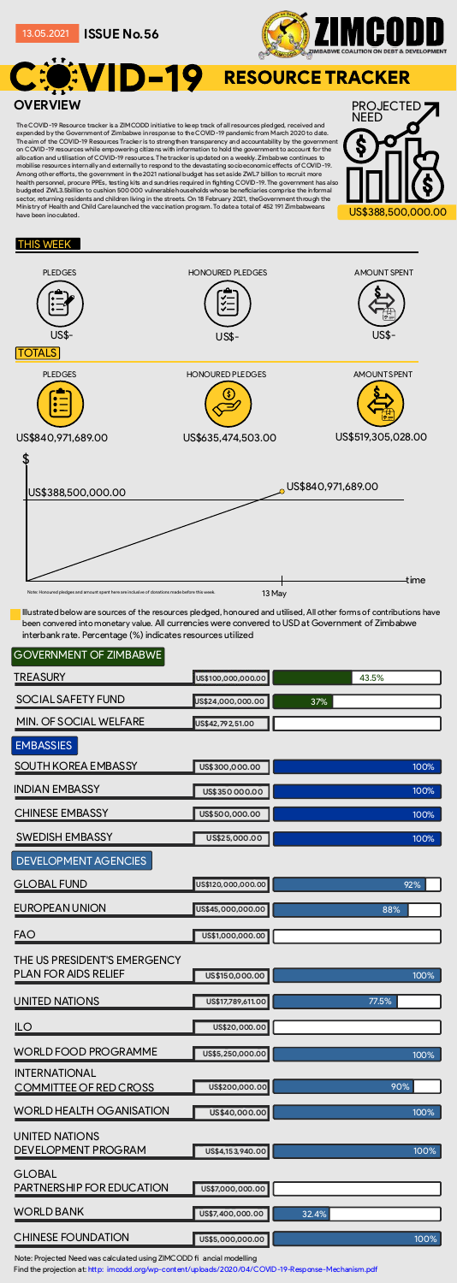Illustrated
below
are
sources
of
the
resources
pledged,
honoured
and
utilised,
All
other
forms
of
contributions
have been convered into monetary value. All currencies were convered to USD at Government of Zimbabwe interbank
rate.
Percentage
(%)
indicates
resources
utilized

## GOVERNMENT
OF
ZIMBABWE

**US\$100,000,000.00**

D-19 RESOURCE TRACKER **OVERVIEW** PROJECTED

| <b>SOCIAL SAFETY FUND</b>                                   | US\$24,000,000.00  | 37%   |
|-------------------------------------------------------------|--------------------|-------|
| <b>MIN. OF SOCIAL WELFARE</b>                               | US\$42,792,51.00   |       |
| <b>EMBASSIES</b>                                            |                    |       |
| <b>SOUTH KOREA EMBASSY</b>                                  | US\$300,000.00     | 100%  |
| <b>INDIAN EMBASSY</b>                                       | US\$350 000.00     | 100%  |
| <b>CHINESE EMBASSY</b>                                      | US\$500,000.00     | 100%  |
| <b>SWEDISH EMBASSY</b>                                      | US\$25,000.00      | 100%  |
| <b>DEVELOPMENT AGENCIES</b>                                 |                    |       |
| <b>GLOBAL FUND</b>                                          | US\$120,000,000.00 | 92%   |
| <b>EUROPEAN UNION</b>                                       | US\$45,000,000.00  | 88%   |
| <b>FAO</b>                                                  | US\$1,000,000.00   |       |
| THE US PRESIDENT'S EMERGENCY<br><b>PLAN FOR AIDS RELIEF</b> | US\$150,000.00     | 100%  |
| <b>UNITED NATIONS</b>                                       | US\$17,789,611.00  | 77.5% |
| <b>ILO</b>                                                  | US\$20,000.00      |       |
| <b>WORLD FOOD PROGRAMME</b>                                 | US\$5,250,000.00   | 100%  |
| <b>INTERNATIONAL</b><br><b>COMMITTEE OF RED CROSS</b>       | US\$200,000.00     | 90%   |
| <b>WORLD HEALTH OGANISATION</b>                             | US\$40,000.00      | 100%  |
| <b>UNITED NATIONS</b><br><b>DEVELOPMENT PROGRAM</b>         | US\$4,153,940.00   | 100%  |
| <b>GLOBAL</b><br><b>PARTNERSHIP FOR EDUCATION</b>           | US\$7,000,000.00   |       |
| <b>WORLD BANK</b>                                           | US\$7,400,000.00   | 32.4% |
| <b>CHINESE FOUNDATION</b>                                   | US\$5,000,000.00   | 100%  |

Note: Projected Need was calculated using ZIMCODD fi ancial modelling

Find the projection at: http: imcodd.org/wp-content/uploads/2020/04/COVID-19-Response-Mechanism.pdf

NEED

S\$388,500,000.00

## THIS
WEEK



**ISSUE
No.56** 13.05.2021



The
COVID-19
Resource
tracker
is
a
ZIMCODD
initiative
to
keep
track
of
all
resources
pledged,
received
and expended by the Government of Zimbabwe in response to the COVID-19 pandemic from March 2020 to date. The
aim
of
the
COVID-19
Resources
Tracker
is
to
strengthen
transparency
and
accountability
by
the
government on COVID-19 resources while empowering citizens with information to hold the government to account for the allocation
and
utilisation
of
COVID-19
resources.
The
tracker
is
updated
on
a
weekly.
Zimbabwe
continues
to mobilise resources internally and externally to respond to the devastating socioeconomic effects of COVID-19. Among other efforts, the government in the 2021 national budget has set aside ZWL7 billion to recruit more health personnel, procure PPEs, testing kits and sundries required in fighting COVID-19. The government has also budgeted ZWL3.5billion to cushion 500 000 vulnerable households whose beneficiaries comprise the informal sector, returning residents and children living in the streets. On 18 February 2021, theGovernment through the Ministry of Health and Child Care launched the vaccination program. To date a total of 452 191 Zimbabweans have
been
inoculated.